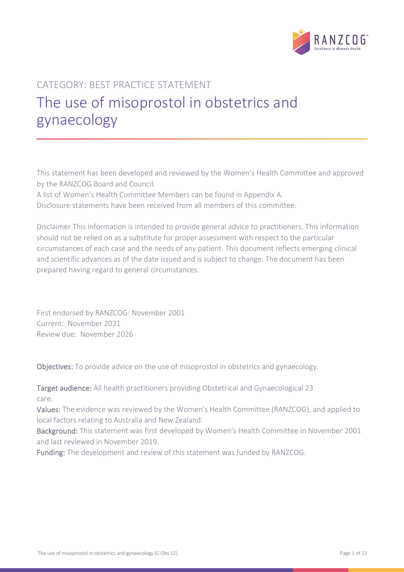

# CATEGORY: BEST PRACTICE STATEMENT The use of misoprostol in obstetrics and gynaecology

This statement has been developed and reviewed by the Women's Health Committee and approved by the RANZCOG Board and Council.

A list of Women's Health Committee Members can be found in Appendix A. Disclosure statements have been received from all members of this committee.

Disclaimer This information is intended to provide general advice to practitioners. This information should not be relied on as a substitute for proper assessment with respect to the particular circumstances of each case and the needs of any patient. This document reflects emerging clinical and scientific advances as of the date issued and is subject to change. The document has been prepared having regard to general circumstances.

First endorsed by RANZCOG: November 2001 Current: November 2021 Review due: November 2026

Objectives: To provide advice on the use of misoprostol in obstetrics and gynaecology.

Target audience: All health practitioners providing Obstetrical and Gynaecological 23 care.

Values: The evidence was reviewed by the Women's Health Committee (RANZCOG), and applied to local factors relating to Australia and New Zealand.

Background: This statement was first developed by Women's Health Committee in November 2001 and last reviewed in November 2019.

Funding: The development and review of this statement was funded by RANZCOG.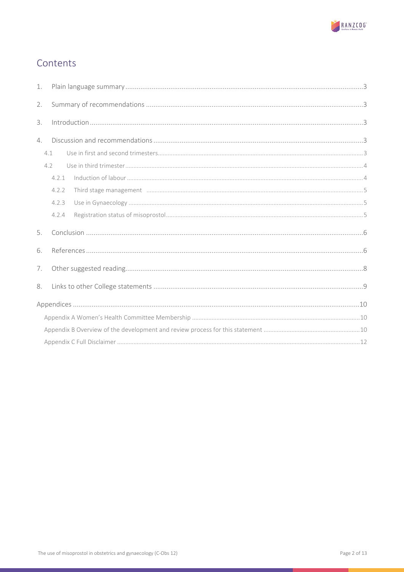

# Contents

| 1. |                                                                                                                                                                                                                                                                                                                                                                                                                                               |  |  |  |
|----|-----------------------------------------------------------------------------------------------------------------------------------------------------------------------------------------------------------------------------------------------------------------------------------------------------------------------------------------------------------------------------------------------------------------------------------------------|--|--|--|
| 2. |                                                                                                                                                                                                                                                                                                                                                                                                                                               |  |  |  |
| 3. | $\label{eq:1} \mbox{Introduction}\dots\hspace{1.5mm}\dots\hspace{1.5mm}\dots\hspace{1.5mm}\dots\hspace{1.5mm}\dots\hspace{1.5mm}\dots\hspace{1.5mm}\dots\hspace{1.5mm}\dots\hspace{1.5mm}\dots\hspace{1.5mm}\dots\hspace{1.5mm}\dots\hspace{1.5mm}\dots\hspace{1.5mm}\dots\hspace{1.5mm}\dots\hspace{1.5mm}\dots\hspace{1.5mm}\dots\hspace{1.5mm}\dots\hspace{1.5mm}\dots\hspace{1.5mm}\dots\hspace{1.5mm}\dots\hspace{1.5mm}\dots\hspace{1.$ |  |  |  |
| 4. |                                                                                                                                                                                                                                                                                                                                                                                                                                               |  |  |  |
|    | 4.1                                                                                                                                                                                                                                                                                                                                                                                                                                           |  |  |  |
|    | 4.2                                                                                                                                                                                                                                                                                                                                                                                                                                           |  |  |  |
|    | 4.2.1                                                                                                                                                                                                                                                                                                                                                                                                                                         |  |  |  |
|    | 4.2.2                                                                                                                                                                                                                                                                                                                                                                                                                                         |  |  |  |
|    | 4.2.3                                                                                                                                                                                                                                                                                                                                                                                                                                         |  |  |  |
|    | 4.2.4                                                                                                                                                                                                                                                                                                                                                                                                                                         |  |  |  |
| 5. |                                                                                                                                                                                                                                                                                                                                                                                                                                               |  |  |  |
| 6. |                                                                                                                                                                                                                                                                                                                                                                                                                                               |  |  |  |
| 7. |                                                                                                                                                                                                                                                                                                                                                                                                                                               |  |  |  |
| 8. |                                                                                                                                                                                                                                                                                                                                                                                                                                               |  |  |  |
|    |                                                                                                                                                                                                                                                                                                                                                                                                                                               |  |  |  |
|    |                                                                                                                                                                                                                                                                                                                                                                                                                                               |  |  |  |
|    |                                                                                                                                                                                                                                                                                                                                                                                                                                               |  |  |  |
|    |                                                                                                                                                                                                                                                                                                                                                                                                                                               |  |  |  |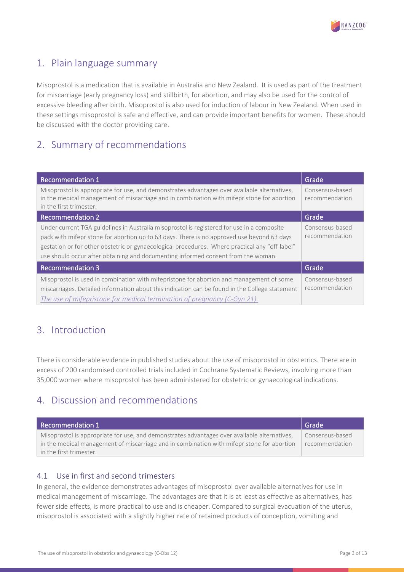

# <span id="page-2-0"></span>1. Plain language summary

Misoprostol is a medication that is available in Australia and New Zealand. It is used as part of the treatment for miscarriage (early pregnancy loss) and stillbirth, for abortion, and may also be used for the control of excessive bleeding after birth. Misoprostol is also used for induction of labour in New Zealand. When used in these settings misoprostol is safe and effective, and can provide important benefits for women. These should be discussed with the doctor providing care.

# <span id="page-2-1"></span>2. Summary of recommendations

| <b>Recommendation 1</b>                                                                                                                                                                                                                                                                                                                                                         | Grade                             |
|---------------------------------------------------------------------------------------------------------------------------------------------------------------------------------------------------------------------------------------------------------------------------------------------------------------------------------------------------------------------------------|-----------------------------------|
| Misoprostol is appropriate for use, and demonstrates advantages over available alternatives,<br>in the medical management of miscarriage and in combination with mifepristone for abortion<br>in the first trimester.                                                                                                                                                           | Consensus-based<br>recommendation |
| <b>Recommendation 2</b>                                                                                                                                                                                                                                                                                                                                                         | Grade                             |
| Under current TGA guidelines in Australia misoprostol is registered for use in a composite<br>pack with mifepristone for abortion up to 63 days. There is no approved use beyond 63 days<br>gestation or for other obstetric or gynaecological procedures. Where practical any "off-label"<br>use should occur after obtaining and documenting informed consent from the woman. | Consensus-based<br>recommendation |
| <b>Recommendation 3</b>                                                                                                                                                                                                                                                                                                                                                         | Grade                             |
| Misoprostol is used in combination with mifepristone for abortion and management of some<br>miscarriages. Detailed information about this indication can be found in the College statement<br>The use of mifepristone for medical termination of pregnancy (C-Gyn 21).                                                                                                          | Consensus-based<br>recommendation |

## <span id="page-2-2"></span>3. Introduction

There is considerable evidence in published studies about the use of misoprostol in obstetrics. There are in excess of 200 randomised controlled trials included in Cochrane Systematic Reviews, involving more than 35,000 women where misoprostol has been administered for obstetric or gynaecological indications.

## <span id="page-2-3"></span>4. Discussion and recommendations

| Recommendation 1                                                                             | Grade           |
|----------------------------------------------------------------------------------------------|-----------------|
| Misoprostol is appropriate for use, and demonstrates advantages over available alternatives, | Consensus-based |
| in the medical management of miscarriage and in combination with mifepristone for abortion   | recommendation  |
| in the first trimester.                                                                      |                 |

### <span id="page-2-4"></span>4.1 Use in first and second trimesters

In general, the evidence demonstrates advantages of misoprostol over available alternatives for use in medical management of miscarriage. The advantages are that it is at least as effective as alternatives, has fewer side effects, is more practical to use and is cheaper. Compared to surgical evacuation of the uterus, misoprostol is associated with a slightly higher rate of retained products of conception, vomiting and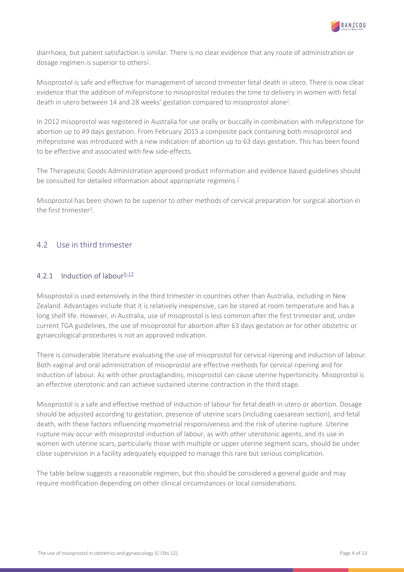

diarrhoea, but patient satisfaction is similar. There is no clear evidence that any route of administration or dosage regimen is superior to others<sup>1</sup>.

Misoprostol is safe and effective for management of second trimester fetal death in utero. There is now clear evidence that the addition of mifepristone to misoprostol reduces the time to delivery in women with fetal death in utero between 14 and 28 weeks' gestation compared to misoprostol alone<sup>2</sup>.

In 2012 misoprostol was registered in Australia for use orally or buccally in combination with mifepristone for abortion up to 49 days gestation. From February 2015 a composite pack containing both misoprostol and mifepristone was introduced with a new indication of abortion up to 63 days gestation. This has been found to be effective and associated with few side-effects.

The Therapeutic Goods Administration approved product information and evidence based guidelines should be consulted for detailed information about appropriate regimens.<sup>3</sup>

Misoprostol has been shown to be superior to other methods of cervical preparation for surgical abortion in the first trimester $4$ .

### <span id="page-3-0"></span>4.2 Use in third trimester

### <span id="page-3-1"></span>4.2.1 Induction of labour<sup>5-12</sup>

Misoprostol is used extensively in the third trimester in countries other than Australia, including in New Zealand. Advantages include that it is relatively inexpensive, can be stored at room temperature and has a long shelf life. However, in Australia, use of misoprostol is less common after the first trimester and, under current TGA guidelines, the use of misoprostol for abortion after 63 days gestation or for other obstetric or gynaecological procedures is not an approved indication.

There is considerable literature evaluating the use of misoprostol for cervical ripening and induction of labour. Both vaginal and oral administration of misoprostol are effective methods for cervical ripening and for induction of labour. As with other prostaglandins, misoprostol can cause uterine hypertonicity. Misoprostol is an effective uterotonic and can achieve sustained uterine contraction in the third stage.

Misoprostol is a safe and effective method of induction of labour for fetal death in utero or abortion. Dosage should be adjusted according to gestation, presence of uterine scars (including caesarean section), and fetal death, with these factors influencing myometrial responsiveness and the risk of uterine rupture. Uterine rupture may occur with misoprostol induction of labour, as with other uterotonic agents, and its use in women with uterine scars, particularly those with multiple or upper uterine segment scars, should be under close supervision in a facility adequately equipped to manage this rare but serious complication.

The table below suggests a reasonable regimen, but this should be considered a general guide and may require modification depending on other clinical circumstances or local considerations.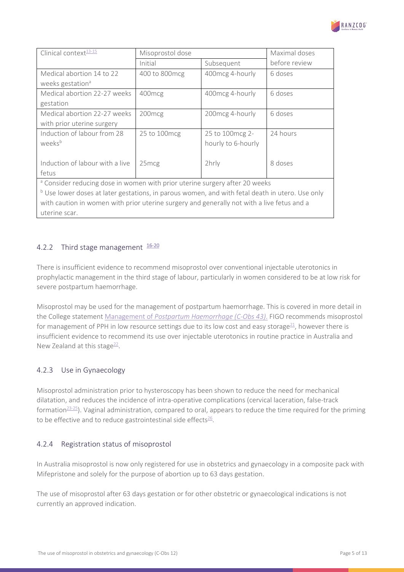

| Clinical context <sup>13-15</sup>                                                                          | Misoprostol dose   |                    |               |
|------------------------------------------------------------------------------------------------------------|--------------------|--------------------|---------------|
|                                                                                                            | Initial            | Subsequent         | before review |
| Medical abortion 14 to 22                                                                                  | 400 to 800 mcg     | 400mcg 4-hourly    | 6 doses       |
| weeks gestation <sup>a</sup>                                                                               |                    |                    |               |
| Medical abortion 22-27 weeks                                                                               | 400 <sub>mcg</sub> | 400 mcg 4-hourly   | 6 doses       |
| gestation                                                                                                  |                    |                    |               |
| Medical abortion 22-27 weeks                                                                               | 200 <sub>mcg</sub> | 200 mcg 4-hourly   | 6 doses       |
| with prior uterine surgery                                                                                 |                    |                    |               |
| Induction of labour from 28                                                                                | 25 to 100 mcg      | 25 to 100mcg 2-    | 24 hours      |
| weeks <sup>b</sup>                                                                                         |                    | hourly to 6-hourly |               |
|                                                                                                            |                    |                    |               |
| Induction of labour with a live                                                                            | 25 <sub>mcg</sub>  | 2hrly              | 8 doses       |
| fetus                                                                                                      |                    |                    |               |
| <sup>a</sup> Consider reducing dose in women with prior uterine surgery after 20 weeks                     |                    |                    |               |
| <sup>b</sup> Use lower doses at later gestations, in parous women, and with fetal death in utero. Use only |                    |                    |               |
| with caution in women with prior uterine surgery and generally not with a live fetus and a                 |                    |                    |               |
| uterine scar.                                                                                              |                    |                    |               |

### <span id="page-4-0"></span>4.2.2 Third stage management  $16-20$

There is insufficient evidence to recommend misoprostol over conventional injectable uterotonics in prophylactic management in the third stage of labour, particularly in women considered to be at low risk for severe postpartum haemorrhage.

Misoprostol may be used for the management of postpartum haemorrhage. This is covered in more detail in the College statement Management of *[Postpartum Haemorrhage \(C-Obs 43\)](https://ranzcog.edu.au/RANZCOG_SITE/media/RANZCOG-MEDIA/Women%27s%20Health/Statement%20and%20guidelines/Clinical-Obstetrics/Management-of-Postpartum-Haemorrhage-(C-Obs-43)-Review-July-2017.pdf?ext=.pdf)*. FIGO recommends misoprostol for management of PPH in low resource settings due to its low cost and easy storage<sup>21</sup>, however there is insufficient evidence to recommend its use over injectable uterotonics in routine practice in Australia and New Zealand at this stage $^{22}$ .

### <span id="page-4-1"></span>4.2.3 Use in Gynaecology

Misoprostol administration prior to hysteroscopy has been shown to reduce the need for mechanical dilatation, and reduces the incidence of intra-operative complications (cervical laceration, false-track formation $23-25$ ). Vaginal administration, compared to oral, appears to reduce the time required for the priming to be effective and to reduce gastrointestinal side effects $26$ .

### <span id="page-4-2"></span>4.2.4 Registration status of misoprostol

In Australia misoprostol is now only registered for use in obstetrics and gynaecology in a composite pack with Mifepristone and solely for the purpose of abortion up to 63 days gestation.

The use of misoprostol after 63 days gestation or for other obstetric or gynaecological indications is not currently an approved indication.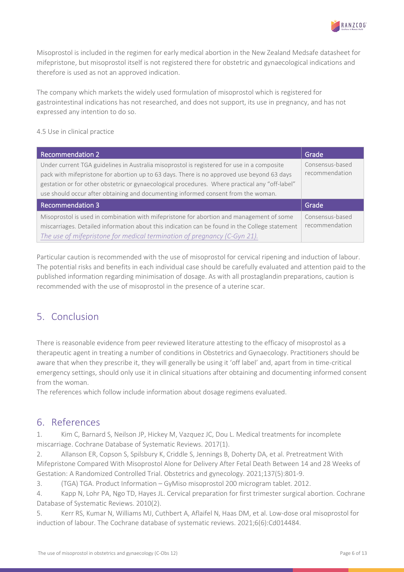

Misoprostol is included in the regimen for early medical abortion in the New Zealand Medsafe datasheet for mifepristone, but misoprostol itself is not registered there for obstetric and gynaecological indications and therefore is used as not an approved indication.

The company which markets the widely used formulation of misoprostol which is registered for gastrointestinal indications has not researched, and does not support, its use in pregnancy, and has not expressed any intention to do so.

4.5 Use in clinical practice

| <b>Recommendation 2</b>                                                                                                                                                                                                                                                                                                                                                         | Grade                             |
|---------------------------------------------------------------------------------------------------------------------------------------------------------------------------------------------------------------------------------------------------------------------------------------------------------------------------------------------------------------------------------|-----------------------------------|
| Under current TGA guidelines in Australia misoprostol is registered for use in a composite<br>pack with mifepristone for abortion up to 63 days. There is no approved use beyond 63 days<br>gestation or for other obstetric or gynaecological procedures. Where practical any "off-label"<br>use should occur after obtaining and documenting informed consent from the woman. | Consensus-based<br>recommendation |
| <b>Recommendation 3</b>                                                                                                                                                                                                                                                                                                                                                         | Grade                             |
| Misoprostol is used in combination with mifepristone for abortion and management of some<br>miscarriages. Detailed information about this indication can be found in the College statement<br>The use of mifepristone for medical termination of pregnancy (C-Gyn 21).                                                                                                          | Consensus-based<br>recommendation |

Particular caution is recommended with the use of misoprostol for cervical ripening and induction of labour. The potential risks and benefits in each individual case should be carefully evaluated and attention paid to the published information regarding minimisation of dosage. As with all prostaglandin preparations, caution is recommended with the use of misoprostol in the presence of a uterine scar.

## <span id="page-5-0"></span>5. Conclusion

There is reasonable evidence from peer reviewed literature attesting to the efficacy of misoprostol as a therapeutic agent in treating a number of conditions in Obstetrics and Gynaecology. Practitioners should be aware that when they prescribe it, they will generally be using it 'off label' and, apart from in time-critical emergency settings, should only use it in clinical situations after obtaining and documenting informed consent from the woman.

The references which follow include information about dosage regimens evaluated.

### <span id="page-5-1"></span>6. References

<span id="page-5-2"></span>1. Kim C, Barnard S, Neilson JP, Hickey M, Vazquez JC, Dou L. Medical treatments for incomplete miscarriage. Cochrane Database of Systematic Reviews. 2017(1).

2. Allanson ER, Copson S, Spilsbury K, Criddle S, Jennings B, Doherty DA, et al. Pretreatment With Mifepristone Compared With Misoprostol Alone for Delivery After Fetal Death Between 14 and 28 Weeks of Gestation: A Randomized Controlled Trial. Obstetrics and gynecology. 2021;137(5):801-9.

3. (TGA) TGA. Product Information – GyMiso misoprostol 200 microgram tablet. 2012.

4. Kapp N, Lohr PA, Ngo TD, Hayes JL. Cervical preparation for first trimester surgical abortion. Cochrane Database of Systematic Reviews. 2010(2).

5. Kerr RS, Kumar N, Williams MJ, Cuthbert A, Aflaifel N, Haas DM, et al. Low-dose oral misoprostol for induction of labour. The Cochrane database of systematic reviews. 2021;6(6):Cd014484.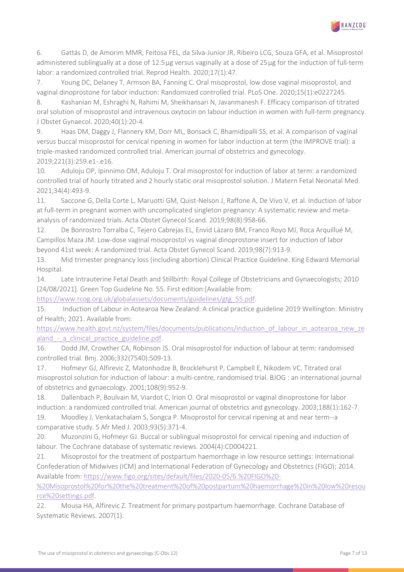

6. Gattás D, de Amorim MMR, Feitosa FEL, da Silva-Junior JR, Ribeiro LCG, Souza GFA, et al. Misoprostol administered sublingually at a dose of 12.5 μg versus vaginally at a dose of 25 μg for the induction of full-term labor: a randomized controlled trial. Reprod Health. 2020;17(1):47.

7. Young DC, Delaney T, Armson BA, Fanning C. Oral misoprostol, low dose vaginal misoprostol, and vaginal dinoprostone for labor induction: Randomized controlled trial. PLoS One. 2020;15(1):e0227245.

8. Kashanian M, Eshraghi N, Rahimi M, Sheikhansari N, Javanmanesh F. Efficacy comparison of titrated oral solution of misoprostol and intravenous oxytocin on labour induction in women with full-term pregnancy. J Obstet Gynaecol. 2020;40(1):20-4.

9. Haas DM, Daggy J, Flannery KM, Dorr ML, Bonsack C, Bhamidipalli SS, et al. A comparison of vaginal versus buccal misoprostol for cervical ripening in women for labor induction at term (the IMPROVE trial): a triple-masked randomized controlled trial. American journal of obstetrics and gynecology. 2019;221(3):259.e1-.e16.

10. Aduloju OP, Ipinnimo OM, Aduloju T. Oral misoprostol for induction of labor at term: a randomized controlled trial of hourly titrated and 2 hourly static oral misoprostol solution. J Matern Fetal Neonatal Med. 2021;34(4):493-9.

11. Saccone G, Della Corte L, Maruotti GM, Quist-Nelson J, Raffone A, De Vivo V, et al. Induction of labor at full-term in pregnant women with uncomplicated singleton pregnancy: A systematic review and metaanalysis of randomized trials. Acta Obstet Gynecol Scand. 2019;98(8):958-66.

12. De Bonrostro Torralba C, Tejero Cabrejas EL, Envid Lázaro BM, Franco Royo MJ, Roca Arquillué M, Campillos Maza JM. Low-dose vaginal misoprostol vs vaginal dinoprostone insert for induction of labor beyond 41st week: A randomized trial. Acta Obstet Gynecol Scand. 2019;98(7):913-9.

<span id="page-6-0"></span>13. Mid trimester pregnancy loss (including abortion) Clinical Practice Guideline. King Edward Memorial Hospital.

14. Late Intrauterine Fetal Death and Stillbirth: Royal College of Obstetricians and Gynaecologists; 2010 [24/08/2021]. Green Top Guideline No. 55. First edition:[Available from:

[https://www.rcog.org.uk/globalassets/documents/guidelines/gtg\\_55.pdf.](https://www.rcog.org.uk/globalassets/documents/guidelines/gtg_55.pdf)

15. Induction of Labour in Aotearoa New Zealand: A clinical practice guideline 2019 Wellington: Ministry of Health; 2021. Available from:

[https://www.health.govt.nz/system/files/documents/publications/induction\\_of\\_labour\\_in\\_aotearoa\\_new\\_ze](https://www.health.govt.nz/system/files/documents/publications/induction_of_labour_in_aotearoa_new_zealand_-_a_clinical_practice_guideline.pdf) aland - a clinical practice guideline.pdf.

<span id="page-6-1"></span>16. Dodd JM, Crowther CA, Robinson JS. Oral misoprostol for induction of labour at term: randomised controlled trial. Bmj. 2006;332(7540):509-13.

17. Hofmeyr GJ, Alfirevic Z, Matonhodze B, Brocklehurst P, Campbell E, Nikodem VC. Titrated oral misoprostol solution for induction of labour: a multi-centre, randomised trial. BJOG : an international journal of obstetrics and gynaecology. 2001;108(9):952-9.

18. Dallenbach P, Boulvain M, Viardot C, Irion O. Oral misoprostol or vaginal dinoprostone for labor induction: a randomized controlled trial. American journal of obstetrics and gynecology. 2003;188(1):162-7.

19. Moodley J, Venkatachalam S, Songca P. Misoprostol for cervical ripening at and near term--a comparative study. S Afr Med J. 2003;93(5):371-4.

20. Muzonzini G, Hofmeyr GJ. Buccal or sublingual misoprostol for cervical ripening and induction of labour. The Cochrane database of systematic reviews. 2004(4):CD004221.

<span id="page-6-2"></span>21. Misoprostol for the treatment of postpartum haemorrhage in low resource settings: International Confederation of Midwives (ICM) and International Federation of Gynecology and Obstetrics (FIGO); 2014. Available from: [https://www.figo.org/sites/default/files/2020-05/6.%20FIGO%20-](https://www.figo.org/sites/default/files/2020-05/6.%20FIGO%20-%20Misoprostol%20for%20the%20treatment%20of%20postpartum%20haemorrhage%20in%20low%20resource%20settings.pdf)

[%20Misoprostol%20for%20the%20treatment%20of%20postpartum%20haemorrhage%20in%20low%20resou](https://www.figo.org/sites/default/files/2020-05/6.%20FIGO%20-%20Misoprostol%20for%20the%20treatment%20of%20postpartum%20haemorrhage%20in%20low%20resource%20settings.pdf) [rce%20settings.pdf.](https://www.figo.org/sites/default/files/2020-05/6.%20FIGO%20-%20Misoprostol%20for%20the%20treatment%20of%20postpartum%20haemorrhage%20in%20low%20resource%20settings.pdf)

<span id="page-6-3"></span>22. Mousa HA, Alfirevic Z. Treatment for primary postpartum haemorrhage. Cochrane Database of Systematic Reviews. 2007(1).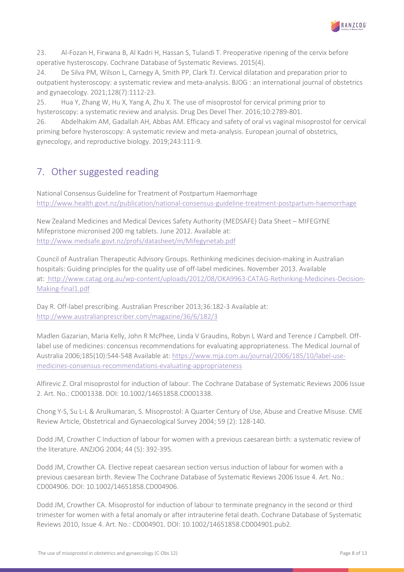

<span id="page-7-1"></span>23. Al-Fozan H, Firwana B, Al Kadri H, Hassan S, Tulandi T. Preoperative ripening of the cervix before operative hysteroscopy. Cochrane Database of Systematic Reviews. 2015(4).

24. De Silva PM, Wilson L, Carnegy A, Smith PP, Clark TJ. Cervical dilatation and preparation prior to outpatient hysteroscopy: a systematic review and meta-analysis. BJOG : an international journal of obstetrics and gynaecology. 2021;128(7):1112-23.

25. Hua Y, Zhang W, Hu X, Yang A, Zhu X. The use of misoprostol for cervical priming prior to hysteroscopy: a systematic review and analysis. Drug Des Devel Ther. 2016;10:2789-801.

<span id="page-7-2"></span>26. Abdelhakim AM, Gadallah AH, Abbas AM. Efficacy and safety of oral vs vaginal misoprostol for cervical priming before hysteroscopy: A systematic review and meta-analysis. European journal of obstetrics, gynecology, and reproductive biology. 2019;243:111-9.

# <span id="page-7-0"></span>7. Other suggested reading

National Consensus Guideline for Treatment of Postpartum Haemorrhage <http://www.health.govt.nz/publication/national-consensus-guideline-treatment-postpartum-haemorrhage>

New Zealand Medicines and Medical Devices Safety Authority (MEDSAFE) Data Sheet – MIFEGYNE Mifepristone micronised 200 mg tablets. June 2012. Available at: <http://www.medsafe.govt.nz/profs/datasheet/m/Mifegynetab.pdf>

Council of Australian Therapeutic Advisory Groups. Rethinking medicines decision-making in Australian hospitals: Guiding principles for the quality use of off-label medicines. November 2013. Available at: [http://www.catag.org.au/wp-content/uploads/2012/08/OKA9963-CATAG-Rethinking-Medicines-Decision-](http://www.catag.org.au/wp-content/uploads/2012/08/OKA9963-CATAG-Rethinking-Medicines-Decision-Making-final1.pdf)[Making-final1.pdf](http://www.catag.org.au/wp-content/uploads/2012/08/OKA9963-CATAG-Rethinking-Medicines-Decision-Making-final1.pdf)

Day R. Off-label prescribing. Australian Prescriber 2013;36:182-3 Available at: <http://www.australianprescriber.com/magazine/36/6/182/3>

Madlen Gazarian, Maria Kelly, John R McPhee, Linda V Graudins, Robyn L Ward and Terence J Campbell. Offlabel use of medicines: concensus recommendations for evaluating appropriateness. The Medical Journal of Australia 2006;185(10):544-548 Available at[: https://www.mja.com.au/journal/2006/185/10/label-use](https://www.mja.com.au/journal/2006/185/10/label-use-medicines-consensus-recommendations-evaluating-appropriateness)[medicines-consensus-recommendations-evaluating-appropriateness](https://www.mja.com.au/journal/2006/185/10/label-use-medicines-consensus-recommendations-evaluating-appropriateness)

Alfirevic Z. Oral misoprostol for induction of labour. The Cochrane Database of Systematic Reviews 2006 Issue 2. Art. No.: CD001338. DOI: 10.1002/14651858.CD001338.

Chong Y-S, Su L-L & Arulkumaran, S. Misoprostol: A Quarter Century of Use, Abuse and Creative Misuse. CME Review Article, Obstetrical and Gynaecological Survey 2004; 59 (2): 128-140.

Dodd JM, Crowther C Induction of labour for women with a previous caesarean birth: a systematic review of the literature. ANZJOG 2004; 44 (5): 392-395.

Dodd JM, Crowther CA. Elective repeat caesarean section versus induction of labour for women with a previous caesarean birth. Review The Cochrane Database of Systematic Reviews 2006 Issue 4. Art. No.: CD004906. DOI: 10.1002/14651858.CD004906.

Dodd JM, Crowther CA. Misoprostol for induction of labour to terminate pregnancy in the second or third trimester for women with a fetal anomaly or after intrauterine fetal death. Cochrane Database of Systematic Reviews 2010, Issue 4. Art. No.: CD004901. DOI: 10.1002/14651858.CD004901.pub2.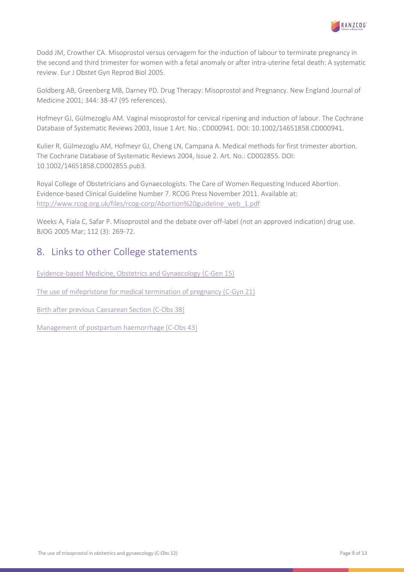

Dodd JM, Crowther CA. Misoprostol versus cervagem for the induction of labour to terminate pregnancy in the second and third trimester for women with a fetal anomaly or after intra-uterine fetal death: A systematic review. Eur J Obstet Gyn Reprod Biol 2005.

Goldberg AB, Greenberg MB, Darney PD. Drug Therapy: Misoprostol and Pregnancy. New England Journal of Medicine 2001; 344: 38-47 (95 references).

Hofmeyr GJ, Gülmezoglu AM. Vaginal misoprostol for cervical ripening and induction of labour. The Cochrane Database of Systematic Reviews 2003, Issue 1 Art. No.: CD000941. DOI: 10.1002/14651858.CD000941.

Kulier R, Gülmezoglu AM, Hofmeyr GJ, Cheng LN, Campana A. Medical methods for first trimester abortion. The Cochrane Database of Systematic Reviews 2004, Issue 2. Art. No.: CD002855. DOI: 10.1002/14651858.CD002855.pub3.

Royal College of Obstetricians and Gynaecologists. The Care of Women Requesting Induced Abortion. Evidence-based Clinical Guideline Number 7. RCOG Press November 2011. Available at: [http://www.rcog.org.uk/files/rcog-corp/Abortion%20guideline\\_web\\_1.pdf](http://www.rcog.org.uk/files/rcog-corp/Abortion%20guideline_web_1.pdf) 

Weeks A, Fiala C, Safar P. Misoprostol and the debate over off-label (not an approved indication) drug use. BJOG 2005 Mar; 112 (3): 269-72.

### <span id="page-8-0"></span>8. Links to other College statements

[Evidence-based Medicine, Obstetrics and Gynaecology \(C-Gen 15\)](https://ranzcog.edu.au/RANZCOG_SITE/media/RANZCOG-MEDIA/Women%27s%20Health/Statement%20and%20guidelines/Clinical%20-%20General/Evidence-based_Medicine_Obstetrics_and_Gynaecology_(C-Gen-15)-March-2021.pdf?ext=.pdf%20)

[The use of mifepristone for medical termination of pregnancy \(C-Gyn 21\)](https://ranzcog.edu.au/RANZCOG_SITE/media/RANZCOG-MEDIA/Women%27s%20Health/Statement%20and%20guidelines/Clinical%20-%20Gynaecology/Use-of-mifepristone-for-medical-abortion(C-Gyn-21)Review-March-2019_2.pdf?ext=.pdf)

[Birth after previous Caesarean](https://ranzcog.edu.au/RANZCOG_SITE/media/RANZCOG-MEDIA/Women%27s%20Health/Statement%20and%20guidelines/Clinical-Obstetrics/Birth-after-previous-caesarean-section-(C-Obs-38)-_-Jan-2022.pdf?ext=.pdf) Section (C-Obs 38)

<span id="page-8-1"></span>Management of [postpartum haemorrhage \(C-Obs 43\)](https://ranzcog.edu.au/RANZCOG_SITE/media/RANZCOG-MEDIA/Women%27s%20Health/Statement%20and%20guidelines/Clinical-Obstetrics/Management-of-Postpartum-Haemorrhage-(C-Obs-43)-Review-July-2017.pdf?ext=.pdf)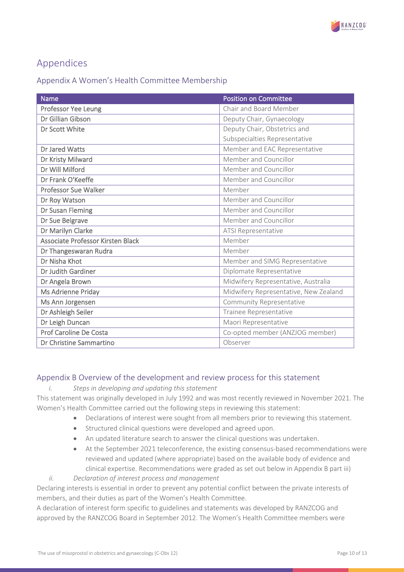

# Appendices

### <span id="page-9-0"></span>Appendix A Women's Health Committee Membership

| <b>Name</b>                       | <b>Position on Committee</b>          |
|-----------------------------------|---------------------------------------|
| Professor Yee Leung               | Chair and Board Member                |
| Dr Gillian Gibson                 | Deputy Chair, Gynaecology             |
| Dr Scott White                    | Deputy Chair, Obstetrics and          |
|                                   | Subspecialties Representative         |
| Dr Jared Watts                    | Member and EAC Representative         |
| Dr Kristy Milward                 | Member and Councillor                 |
| Dr Will Milford                   | Member and Councillor                 |
| Dr Frank O'Keeffe                 | Member and Councillor                 |
| <b>Professor Sue Walker</b>       | Member                                |
| Dr Roy Watson                     | Member and Councillor                 |
| Dr Susan Fleming                  | Member and Councillor                 |
| Dr Sue Belgrave                   | Member and Councillor                 |
| Dr Marilyn Clarke                 | ATSI Representative                   |
| Associate Professor Kirsten Black | Member                                |
| Dr Thangeswaran Rudra             | Member                                |
| Dr Nisha Khot                     | Member and SIMG Representative        |
| Dr Judith Gardiner                | Diplomate Representative              |
| Dr Angela Brown                   | Midwifery Representative, Australia   |
| Ms Adrienne Priday                | Midwifery Representative, New Zealand |
| Ms Ann Jorgensen                  | Community Representative              |
| Dr Ashleigh Seiler                | Trainee Representative                |
| Dr Leigh Duncan                   | Maori Representative                  |
| Prof Caroline De Costa            | Co-opted member (ANZJOG member)       |
| Dr Christine Sammartino           | Observer                              |

### <span id="page-9-1"></span>Appendix B Overview of the development and review process for this statement

### *i. Steps in developing and updating this statement*

This statement was originally developed in July 1992 and was most recently reviewed in November 2021. The Women's Health Committee carried out the following steps in reviewing this statement:

- Declarations of interest were sought from all members prior to reviewing this statement.
- Structured clinical questions were developed and agreed upon.
- An updated literature search to answer the clinical questions was undertaken.
- At the September 2021 teleconference, the existing consensus-based recommendations were reviewed and updated (where appropriate) based on the available body of evidence and clinical expertise. Recommendations were graded as set out below in Appendix B part iii)
- *ii. Declaration of interest process and management*

Declaring interests is essential in order to prevent any potential conflict between the private interests of members, and their duties as part of the Women's Health Committee.

A declaration of interest form specific to guidelines and statements was developed by RANZCOG and approved by the RANZCOG Board in September 2012. The Women's Health Committee members were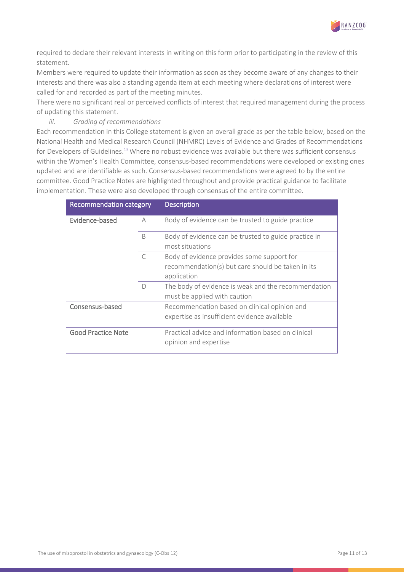

required to declare their relevant interests in writing on this form prior to participating in the review of this statement.

Members were required to update their information as soon as they become aware of any changes to their interests and there was also a standing agenda item at each meeting where declarations of interest were called for and recorded as part of the meeting minutes.

There were no significant real or perceived conflicts of interest that required management during the process of updating this statement.

#### *iii. Grading of recommendations*

Each recommendation in this College statement is given an overall grade as per the table below, based on the National Health and Medical Research Council (NHMRC) Levels of Evidence and Grades of Recommendations for Developers of Guidelines.<sup>13</sup> Where no robust evidence was available but there was sufficient consensus within the Women's Health Committee, consensus-based recommendations were developed or existing ones updated and are identifiable as such. Consensus-based recommendations were agreed to by the entire committee. Good Practice Notes are highlighted throughout and provide practical guidance to facilitate implementation. These were also developed through consensus of the entire committee.

| Recommendation category   |              | <b>Description</b>                                                                                             |
|---------------------------|--------------|----------------------------------------------------------------------------------------------------------------|
| Evidence-based            | А            | Body of evidence can be trusted to guide practice                                                              |
|                           | <sup>B</sup> | Body of evidence can be trusted to guide practice in<br>most situations                                        |
|                           | $\subset$    | Body of evidence provides some support for<br>recommendation(s) but care should be taken in its<br>application |
|                           | $\bigcap$    | The body of evidence is weak and the recommendation<br>must be applied with caution                            |
| Consensus-based           |              | Recommendation based on clinical opinion and<br>expertise as insufficient evidence available                   |
| <b>Good Practice Note</b> |              | Practical advice and information based on clinical<br>opinion and expertise                                    |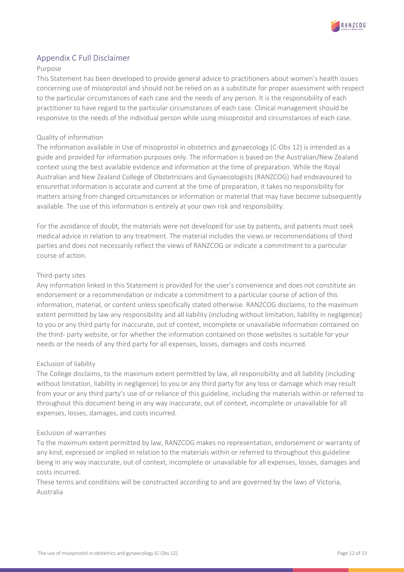

### <span id="page-11-0"></span>Appendix C Full Disclaimer

#### Purpose

This Statement has been developed to provide general advice to practitioners about women's health issues concerning use of misoprostol and should not be relied on as a substitute for proper assessment with respect to the particular circumstances of each case and the needs of any person. It is the responsibility of each practitioner to have regard to the particular circumstances of each case. Clinical management should be responsive to the needs of the individual person while using misoprostol and circumstances of each case.

#### Quality of information

The information available in Use of misoprostol in obstetrics and gynaecology (C-Obs 12) is intended as a guide and provided for information purposes only. The information is based on the Australian/New Zealand context using the best available evidence and information at the time of preparation. While the Royal Australian and New Zealand College of Obstetricians and Gynaecologists (RANZCOG) had endeavoured to ensurethat information is accurate and current at the time of preparation, it takes no responsibility for matters arising from changed circumstances or information or material that may have become subsequently available. The use of this information is entirely at your own risk and responsibility.

For the avoidance of doubt, the materials were not developed for use by patients, and patients must seek medical advice in relation to any treatment. The material includes the views or recommendations of third parties and does not necessarily reflect the views of RANZCOG or indicate a commitment to a particular course of action.

#### Third-party sites

Any information linked in this Statement is provided for the user's convenience and does not constitute an endorsement or a recommendation or indicate a commitment to a particular course of action of this information, material, or content unless specifically stated otherwise. RANZCOG disclaims, to the maximum extent permitted by law any responsibility and all liability (including without limitation, liability in negligence) to you or any third party for inaccurate, out of context, incomplete or unavailable information contained on the third- party website, or for whether the information contained on those websites is suitable for your needs or the needs of any third party for all expenses, losses, damages and costs incurred.

#### Exclusion of liability

The College disclaims, to the maximum extent permitted by law, all responsibility and all liability (including without limitation, liability in negligence) to you or any third party for any loss or damage which may result from your or any third party's use of or reliance of this guideline, including the materials within or referred to throughout this document being in any way inaccurate, out of context, incomplete or unavailable for all expenses, losses, damages, and costs incurred.

#### Exclusion of warranties

To the maximum extent permitted by law, RANZCOG makes no representation, endorsement or warranty of any kind, expressed or implied in relation to the materials within or referred to throughout this guideline being in any way inaccurate, out of context, incomplete or unavailable for all expenses, losses, damages and costs incurred.

These terms and conditions will be constructed according to and are governed by the laws of Victoria, Australia